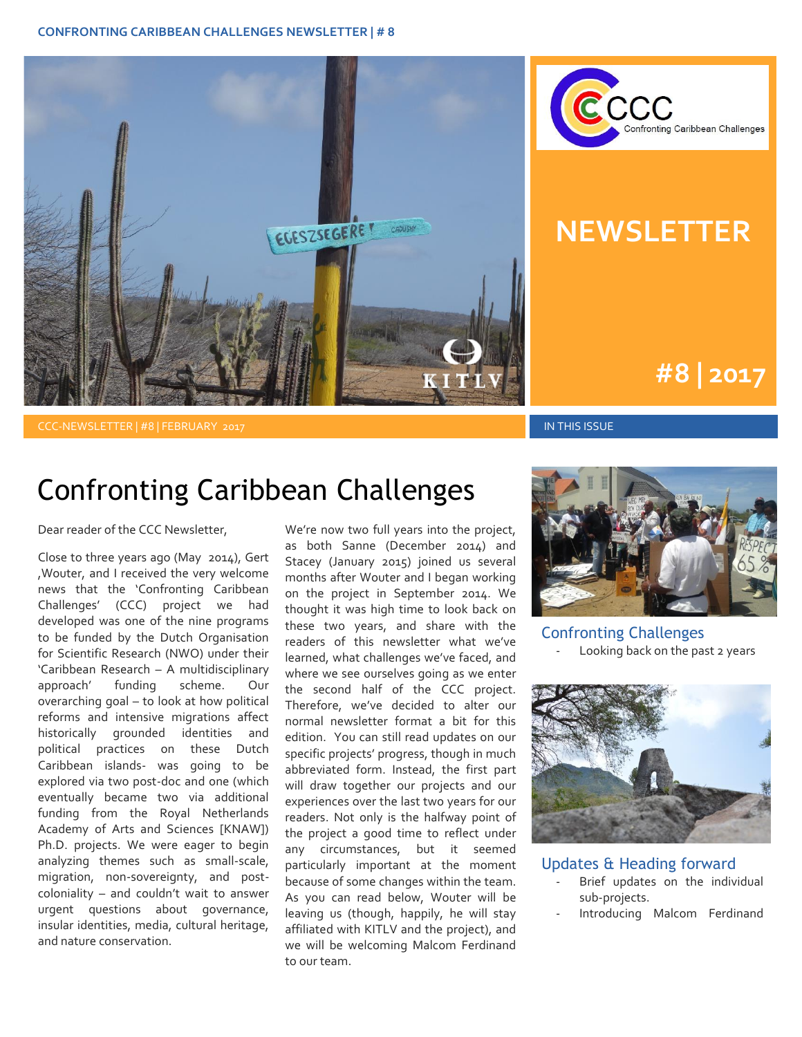



# **NEWSLETTER**

## **#1 | 2015 #8 | 2017**

CCC-NEWSLETTER | #8 | FEBRUARY 2017 IN THIS ISSUE

## Confronting Caribbean Challenges

Dear reader of the CCC Newsletter,

Close to three years ago (May 2014), Gert ,Wouter, and I received the very welcome news that the 'Confronting Caribbean Challenges' (CCC) project we had developed was one of the nine programs to be funded by the Dutch Organisation for Scientific Research (NWO) under their 'Caribbean Research – A multidisciplinary approach' funding scheme. Our overarching goal – to look at how political reforms and intensive migrations affect historically grounded identities and political practices on these Dutch Caribbean islands- was going to be explored via two post-doc and one (which eventually became two via additional funding from the Royal Netherlands Academy of Arts and Sciences [KNAW]) Ph.D. projects. We were eager to begin analyzing themes such as small-scale, migration, non-sovereignty, and postcoloniality – and couldn't wait to answer urgent questions about governance, insular identities, media, cultural heritage, and nature conservation.

We're now two full years into the project, as both Sanne (December 2014) and Stacey (January 2015) joined us several months after Wouter and I began working on the project in September 2014. We thought it was high time to look back on these two years, and share with the readers of this newsletter what we've learned, what challenges we've faced, and where we see ourselves going as we enter the second half of the CCC project. Therefore, we've decided to alter our normal newsletter format a bit for this edition. You can still read updates on our specific projects' progress, though in much abbreviated form. Instead, the first part will draw together our projects and our experiences over the last two years for our readers. Not only is the halfway point of the project a good time to reflect under any circumstances, but it seemed particularly important at the moment because of some changes within the team. As you can read below, Wouter will be leaving us (though, happily, he will stay affiliated with KITLV and the project), and we will be welcoming Malcom Ferdinand to our team.



Confronting Challenges Looking back on the past 2 years



#### Updates & Heading forward

- Brief updates on the individual sub-projects.
- Introducing Malcom Ferdinand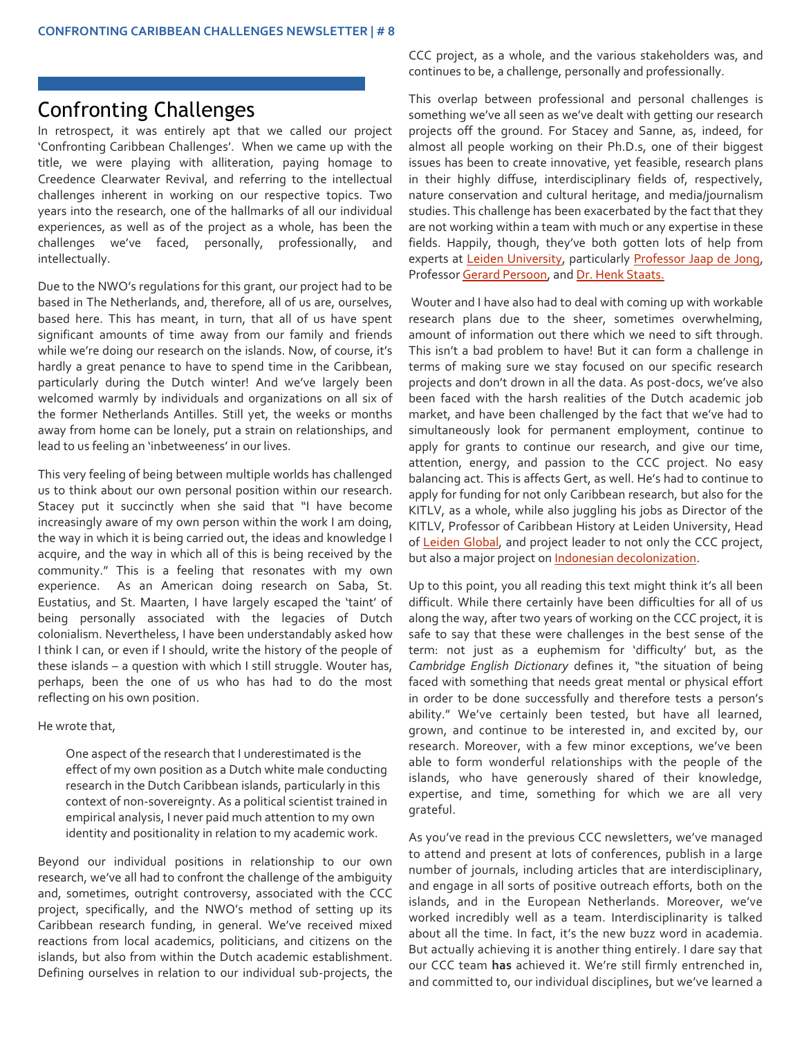### Confronting Challenges

In retrospect, it was entirely apt that we called our project 'Confronting Caribbean Challenges'. When we came up with the title, we were playing with alliteration, paying homage to Creedence Clearwater Revival, and referring to the intellectual challenges inherent in working on our respective topics. Two years into the research, one of the hallmarks of all our individual experiences, as well as of the project as a whole, has been the challenges we've faced, personally, professionally, and intellectually.

Due to the NWO's regulations for this grant, our project had to be based in The Netherlands, and, therefore, all of us are, ourselves, based here. This has meant, in turn, that all of us have spent significant amounts of time away from our family and friends while we're doing our research on the islands. Now, of course, it's hardly a great penance to have to spend time in the Caribbean, particularly during the Dutch winter! And we've largely been welcomed warmly by individuals and organizations on all six of the former Netherlands Antilles. Still yet, the weeks or months away from home can be lonely, put a strain on relationships, and lead to us feeling an 'inbetweeness' in our lives.

This very feeling of being between multiple worlds has challenged us to think about our own personal position within our research. Stacey put it succinctly when she said that "I have become increasingly aware of my own person within the work I am doing, the way in which it is being carried out, the ideas and knowledge I acquire, and the way in which all of this is being received by the community." This is a feeling that resonates with my own experience. As an American doing research on Saba, St. Eustatius, and St. Maarten, I have largely escaped the 'taint' of being personally associated with the legacies of Dutch colonialism. Nevertheless, I have been understandably asked how I think I can, or even if I should, write the history of the people of these islands – a question with which I still struggle. Wouter has, perhaps, been the one of us who has had to do the most reflecting on his own position.

He wrote that,

One aspect of the research that I underestimated is the effect of my own position as a Dutch white male conducting research in the Dutch Caribbean islands, particularly in this context of non-sovereignty. As a political scientist trained in empirical analysis, I never paid much attention to my own identity and positionality in relation to my academic work.

Beyond our individual positions in relationship to our own research, we've all had to confront the challenge of the ambiguity and, sometimes, outright controversy, associated with the CCC project, specifically, and the NWO's method of setting up its Caribbean research funding, in general. We've received mixed reactions from local academics, politicians, and citizens on the islands, but also from within the Dutch academic establishment. Defining ourselves in relation to our individual sub-projects, the

CCC project, as a whole, and the various stakeholders was, and continues to be, a challenge, personally and professionally.

This overlap between professional and personal challenges is something we've all seen as we've dealt with getting our research projects off the ground. For Stacey and Sanne, as, indeed, for almost all people working on their Ph.D.s, one of their biggest issues has been to create innovative, yet feasible, research plans in their highly diffuse, interdisciplinary fields of, respectively, nature conservation and cultural heritage, and media/journalism studies. This challenge has been exacerbated by the fact that they are not working within a team with much or any expertise in these fields. Happily, though, they've both gotten lots of help from experts at [Leiden University,](https://www.universiteitleiden.nl/en) particularly [Professor Jaap de Jong,](https://www.universiteitleiden.nl/en/staffmembers/1/jaap-de-jong) Professo[r Gerard Persoon,](https://www.universiteitleiden.nl/en/staffmembers/gerard-persoon) an[d Dr. Henk Staats.](https://www.universiteitleiden.nl/en/staffmembers/henk-staats)

Wouter and I have also had to deal with coming up with workable research plans due to the sheer, sometimes overwhelming, amount of information out there which we need to sift through. This isn't a bad problem to have! But it can form a challenge in terms of making sure we stay focused on our specific research projects and don't drown in all the data. As post-docs, we've also been faced with the harsh realities of the Dutch academic job market, and have been challenged by the fact that we've had to simultaneously look for permanent employment, continue to apply for grants to continue our research, and give our time, attention, energy, and passion to the CCC project. No easy balancing act. This is affects Gert, as well. He's had to continue to apply for funding for not only Caribbean research, but also for the KITLV, as a whole, while also juggling his jobs as Director of the KITLV, Professor of Caribbean History at Leiden University, Head of [Leiden Global,](http://www.leidenglobal.org/) and project leader to not only the CCC project, but also a major project o[n Indonesian decolonization.](http://www.kitlv.nl/research-projects-dutch-military-operations-in-indonesia/)

Up to this point, you all reading this text might think it's all been difficult. While there certainly have been difficulties for all of us along the way, after two years of working on the CCC project, it is safe to say that these were challenges in the best sense of the term: not just as a euphemism for 'difficulty' but, as the *Cambridge English Dictionary* defines it, "the situation of being faced with something that needs great mental or physical effort in order to be done successfully and therefore tests a person's ability." We've certainly been tested, but have all learned, grown, and continue to be interested in, and excited by, our research. Moreover, with a few minor exceptions, we've been able to form wonderful relationships with the people of the islands, who have generously shared of their knowledge, expertise, and time, something for which we are all very grateful.

As you've read in the previous CCC newsletters, we've managed to attend and present at lots of conferences, publish in a large number of journals, including articles that are interdisciplinary, and engage in all sorts of positive outreach efforts, both on the islands, and in the European Netherlands. Moreover, we've worked incredibly well as a team. Interdisciplinarity is talked about all the time. In fact, it's the new buzz word in academia. But actually achieving it is another thing entirely. I dare say that our CCC team **has** achieved it. We're still firmly entrenched in, and committed to, our individual disciplines, but we've learned a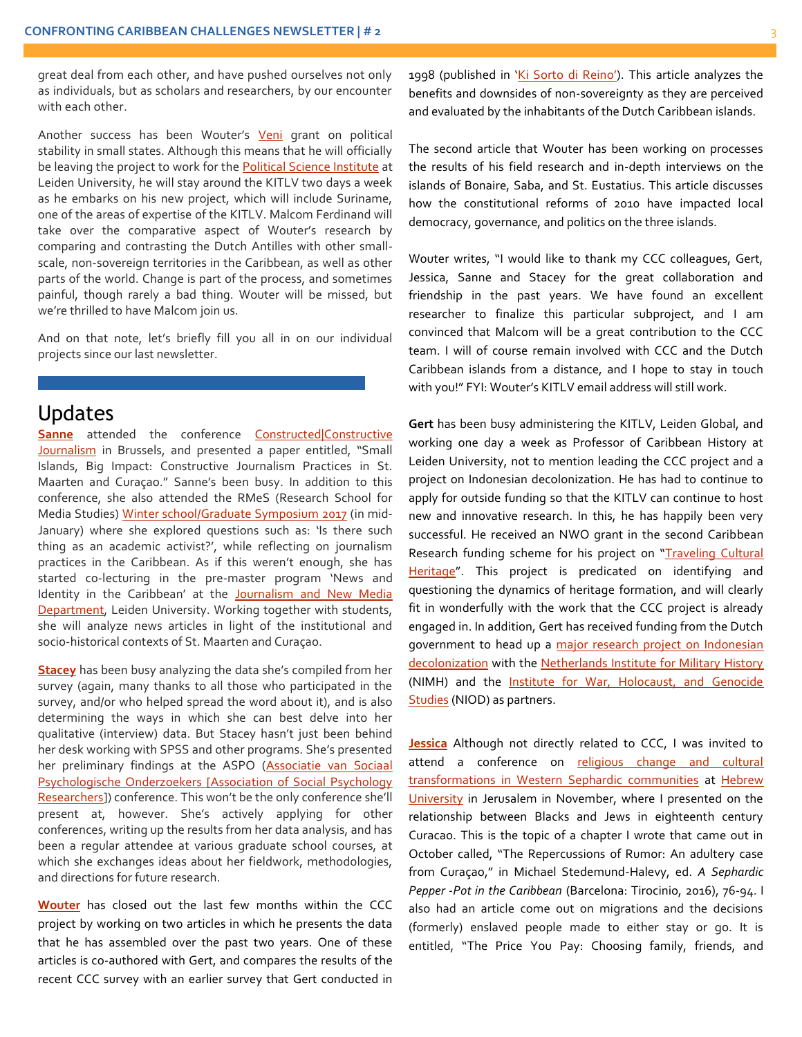great deal from each other, and have pushed ourselves not only as individuals, but as scholars and researchers, by our encounter with each other.

Another success has been Wouter's [Veni](http://www.kitlv.nl/things-get-personal-explaining-political-stability-small-states/) grant on political stability in small states. Although this means that he will officially be leaving the project to work for the [Political Science Institute](https://www.universiteitleiden.nl/en/social-behavioural-sciences/political-science) at Leiden University, he will stay around the KITLV two days a week as he embarks on his new project, which will include Suriname, one of the areas of expertise of the KITLV. Malcom Ferdinand will take over the comparative aspect of Wouter's research by comparing and contrasting the Dutch Antilles with other smallscale, non-sovereign territories in the Caribbean, as well as other parts of the world. Change is part of the process, and sometimes painful, though rarely a bad thing. Wouter will be missed, but we're thrilled to have Malcom join us.

And on that note, let's briefly fill you all in on our individual projects since our last newsletter.

#### Updates

**[Sanne](http://www.kitlv.nl/researchers-rotmeijer/)** attended the conference Constructed|Constructive [Journalism](http://www.vub.ac.be/en/events/2016/constructed-constructive-journalism) in Brussels, and presented a paper entitled, "Small Islands, Big Impact: Constructive Journalism Practices in St. Maarten and Curaçao." Sanne's been busy. In addition to this conference, she also attended the RMeS (Research School for Media Studies) [Winter school/Graduate Symposium 2017](http://www.rmes.nl/rmes-winterschool-graduate-symposium-2016-17/) (in mid-January) where she explored questions such as: 'Is there such thing as an academic activist?', while reflecting on journalism practices in the Caribbean. As if this weren't enough, she has started co-lecturing in the pre-master program 'News and Identity in the Caribbean' at the [Journalism and New Media](http://en.mastersinleiden.nl/programmes/journalistiek-en-nieuwe-media/nl/introduction)  [Department,](http://en.mastersinleiden.nl/programmes/journalistiek-en-nieuwe-media/nl/introduction) Leiden University. Working together with students, she will analyze news articles in light of the institutional and socio-historical contexts of St. Maarten and Curaçao.

**[Stacey](http://www.kitlv.nl/researchers-macdonald/)** has been busy analyzing the data she's compiled from her survey (again, many thanks to all those who participated in the survey, and/or who helped spread the word about it), and is also determining the ways in which she can best delve into her qualitative (interview) data. But Stacey hasn't just been behind her desk working with SPSS and other programs. She's presented her preliminary findings at the ASPO [\(Associatie van Sociaal](http://www.sociale-psychologie.nl/)  [Psychologische Onderzoekers \[Association of Social Psychology](http://www.sociale-psychologie.nl/)  [Researchers](http://www.sociale-psychologie.nl/)]) conference. This won't be the only conference she'll present at, however. She's actively applying for other conferences, writing up the results from her data analysis, and has been a regular attendee at various graduate school courses, at which she exchanges ideas about her fieldwork, methodologies, and directions for future research.

**[Wouter](http://www.kitlv.nl/researchers-veenendaal/)** has closed out the last few months within the CCC project by working on two articles in which he presents the data that he has assembled over the past two years. One of these articles is co-authored with Gert, and compares the results of the recent CCC survey with an earlier survey that Gert conducted in

1998 (published in ['Ki Sorto di Reino'](https://www.jstor.org/stable/41849891)). This article analyzes the benefits and downsides of non-sovereignty as they are perceived and evaluated by the inhabitants of the Dutch Caribbean islands.

The second article that Wouter has been working on processes the results of his field research and in-depth interviews on the islands of Bonaire, Saba, and St. Eustatius. This article discusses how the constitutional reforms of 2010 have impacted local democracy, governance, and politics on the three islands.

Wouter writes, "I would like to thank my CCC colleagues, Gert, Jessica, Sanne and Stacey for the great collaboration and friendship in the past years. We have found an excellent researcher to finalize this particular subproject, and I am convinced that Malcom will be a great contribution to the CCC team. I will of course remain involved with CCC and the Dutch Caribbean islands from a distance, and I hope to stay in touch with you!" FYI: Wouter's KITLV email address will still work.

**Gert** has been busy administering the KITLV, Leiden Global, and working one day a week as Professor of Caribbean History at Leiden University, not to mention leading the CCC project and a project on Indonesian decolonization. He has had to continue to apply for outside funding so that the KITLV can continue to host new and innovative research. In this, he has happily been very successful. He received an NWO grant in the second Caribbean Research funding scheme for his project on "Traveling Cultural [Heritage](http://www.nwo.nl/onderzoek-en-resultaten/onderzoeksprojecten/i/58/27858.html)". This project is predicated on identifying and questioning the dynamics of heritage formation, and will clearly fit in wonderfully with the work that the CCC project is already engaged in. In addition, Gert has received funding from the Dutch government to head up a major research project on Indonesian [decolonization](https://www.nrc.nl/nieuws/2016/12/02/nieuw-onderzoek-naar-dekolonisatie-nederlands-indie-a1534753) with the [Netherlands Institute for Military History](https://www.defensie.nl/organisatie/cdc/inhoud/eenheden/nimh) (NIMH) and the **Institute for War, Holocaust, and Genocide** [Studies](http://niod.nl/en/about-niod) (NIOD) as partners.

**[Jessica](http://www.kitlv.nl/researchers-roitman/)** Although not directly related to CCC, I was invited to attend a conference on religious change and cultural [transformations in Western Sephardic communities](http://www.hum.huji.ac.il/upload/_FILE_1478162833.pdf) at [Hebrew](file:///C:/Users/macdonalds2/AppData/Local/Microsoft/Windows/Temporary%20Internet%20Files/Content.Outlook/X0OC9SRF/hebrew%20university)  [University](file:///C:/Users/macdonalds2/AppData/Local/Microsoft/Windows/Temporary%20Internet%20Files/Content.Outlook/X0OC9SRF/hebrew%20university) in Jerusalem in November, where I presented on the relationship between Blacks and Jews in eighteenth century Curacao. This is the topic of a chapter I wrote that came out in October called, "The Repercussions of Rumor: An adultery case from Curaçao," in Michael Stedemund-Halevy, ed. *A Sephardic Pepper -Pot in the Caribbean* (Barcelona: Tirocinio, 2016), 76-94. I also had an article come out on migrations and the decisions (formerly) enslaved people made to either stay or go. It is entitled, "The Price You Pay: Choosing family, friends, and